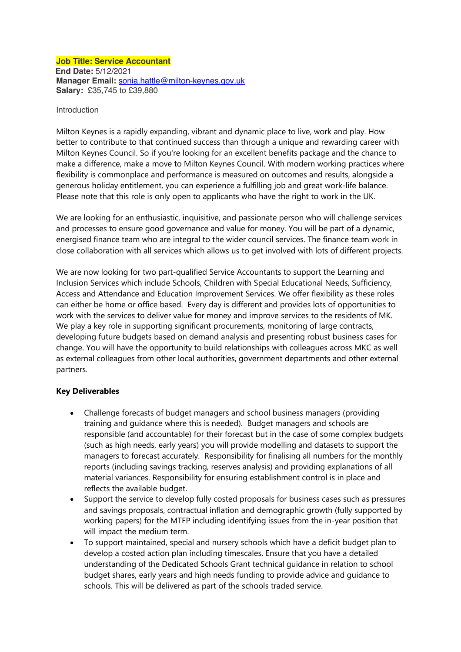# **Job Title: Service Accountant**

**End Date:** 5/12/2021 **Manager Email:** sonia.hattle@milton-keynes.gov.uk **Salary:** £35,745 to £39,880

#### Introduction

Milton Keynes is a rapidly expanding, vibrant and dynamic place to live, work and play. How better to contribute to that continued success than through a unique and rewarding career with Milton Keynes Council. So if you're looking for an excellent benefits package and the chance to make a difference, make a move to Milton Keynes Council. With modern working practices where flexibility is commonplace and performance is measured on outcomes and results, alongside a generous holiday entitlement, you can experience a fulfilling job and great work-life balance. Please note that this role is only open to applicants who have the right to work in the UK.

We are looking for an enthusiastic, inquisitive, and passionate person who will challenge services and processes to ensure good governance and value for money. You will be part of a dynamic, energised finance team who are integral to the wider council services. The finance team work in close collaboration with all services which allows us to get involved with lots of different projects.

We are now looking for two part-qualified Service Accountants to support the Learning and Inclusion Services which include Schools, Children with Special Educational Needs, Sufficiency, Access and Attendance and Education Improvement Services. We offer flexibility as these roles can either be home or office based. Every day is different and provides lots of opportunities to work with the services to deliver value for money and improve services to the residents of MK. We play a key role in supporting significant procurements, monitoring of large contracts, developing future budgets based on demand analysis and presenting robust business cases for change. You will have the opportunity to build relationships with colleagues across MKC as well as external colleagues from other local authorities, government departments and other external partners*.*

### **Key Deliverables**

- Challenge forecasts of budget managers and school business managers (providing training and guidance where this is needed). Budget managers and schools are responsible (and accountable) for their forecast but in the case of some complex budgets (such as high needs, early years) you will provide modelling and datasets to support the managers to forecast accurately. Responsibility for finalising all numbers for the monthly reports (including savings tracking, reserves analysis) and providing explanations of all material variances. Responsibility for ensuring establishment control is in place and reflects the available budget.
- Support the service to develop fully costed proposals for business cases such as pressures and savings proposals, contractual inflation and demographic growth (fully supported by working papers) for the MTFP including identifying issues from the in-year position that will impact the medium term.
- To support maintained, special and nursery schools which have a deficit budget plan to develop a costed action plan including timescales. Ensure that you have a detailed understanding of the Dedicated Schools Grant technical guidance in relation to school budget shares, early years and high needs funding to provide advice and guidance to schools. This will be delivered as part of the schools traded service.